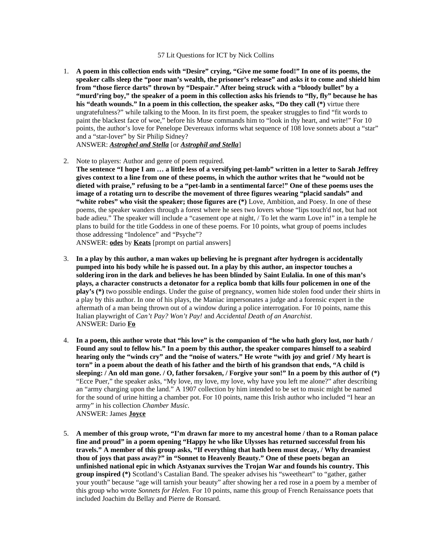## 57 Lit Questions for ICT by Nick Collins

- 1. **A poem in this collection ends with "Desire" crying, "Give me some food!" In one of its poems, the speaker calls sleep the "poor man's wealth, the prisoner's release" and asks it to come and shield him from "those fierce darts" thrown by "Despair." After being struck with a "bloody bullet" by a "murd'ring boy," the speaker of a poem in this collection asks his friends to "fly, fly" because he has his "death wounds." In a poem in this collection, the speaker asks, "Do they call (\*)** virtue there ungratefulness?" while talking to the Moon. In its first poem, the speaker struggles to find "fit words to paint the blackest face of woe," before his Muse commands him to "look in thy heart, and write!" For 10 points, the author's love for Penelope Devereaux informs what sequence of 108 love sonnets about a "star" and a "star-lover" by Sir Philip Sidney? ANSWER: *Astrophel and Stella* [or *Astrophil and Stella*]
- 2. Note to players: Author and genre of poem required. **The sentence "I hope I am … a little less of a versifying pet-lamb" written in a letter to Sarah Jeffrey gives context to a line from one of these poems, in which the author writes that he "would not be dieted with praise," refusing to be a "pet-lamb in a sentimental farce!" One of these poems uses the image of a rotating urn to describe the movement of three figures wearing "placid sandals" and "white robes" who visit the speaker; those figures are (\*)** Love, Ambition, and Poesy. In one of these poems, the speaker wanders through a forest where he sees two lovers whose "lips touch'd not, but had not bade adieu." The speaker will include a "casement ope at night, / To let the warm Love in!" in a temple he plans to build for the title Goddess in one of these poems. For 10 points, what group of poems includes those addressing "Indolence" and "Psyche"?

ANSWER: **odes** by **Keats** [prompt on partial answers]

- 3. **In a play by this author, a man wakes up believing he is pregnant after hydrogen is accidentally pumped into his body while he is passed out. In a play by this author, an inspector touches a soldering iron in the dark and believes he has been blinded by Saint Eulalia. In one of this man's plays, a character constructs a detonator for a replica bomb that kills four policemen in one of the play's (\*)** two possible endings. Under the guise of pregnancy, women hide stolen food under their shirts in a play by this author. In one of his plays, the Maniac impersonates a judge and a forensic expert in the aftermath of a man being thrown out of a window during a police interrogation. For 10 points, name this Italian playwright of *Can't Pay? Won't Pay!* and *Accidental Death of an Anarchist*. ANSWER: Dario **Fo**
- 4. **In a poem, this author wrote that "his love" is the companion of "he who hath glory lost, nor hath / Found any soul to fellow his." In a poem by this author, the speaker compares himself to a seabird hearing only the "winds cry" and the "noise of waters." He wrote "with joy and grief / My heart is torn" in a poem about the death of his father and the birth of his grandson that ends, "A child is sleeping: / An old man gone. / O, father forsaken, / Forgive your son!" In a poem by this author of (\*)** "Ecce Puer," the speaker asks, "My love, my love, my love, why have you left me alone?" after describing an "army charging upon the land." A 1907 collection by him intended to be set to music might be named for the sound of urine hitting a chamber pot. For 10 points, name this Irish author who included "I hear an army" in his collection *Chamber Music*. ANSWER: James **Joyce**
- 5. **A member of this group wrote, "I'm drawn far more to my ancestral home / than to a Roman palace fine and proud" in a poem opening "Happy he who like Ulysses has returned successful from his travels." A member of this group asks, "If everything that hath been must decay, / Why dreamiest thou of joys that pass away?" in "Sonnet to Heavenly Beauty." One of these poets began an unfinished national epic in which Astyanax survives the Trojan War and founds his country. This group inspired (\*)** Scotland's Castalian Band. The speaker advises his "sweetheart" to "gather, gather your youth" because "age will tarnish your beauty" after showing her a red rose in a poem by a member of this group who wrote *Sonnets for Helen*. For 10 points, name this group of French Renaissance poets that included Joachim du Bellay and Pierre de Ronsard.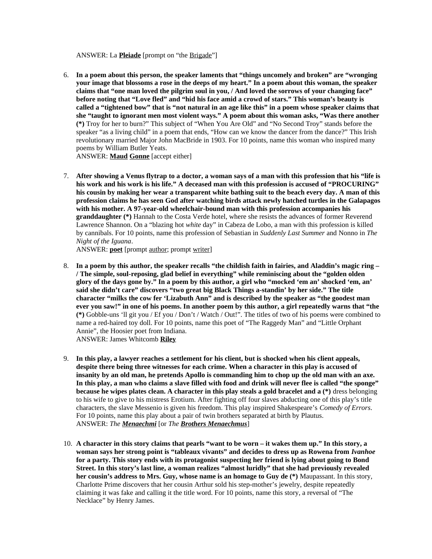ANSWER: La **Pleiade** [prompt on "the Brigade"]

6. **In a poem about this person, the speaker laments that "things uncomely and broken" are "wronging your image that blossoms a rose in the deeps of my heart." In a poem about this woman, the speaker claims that "one man loved the pilgrim soul in you, / And loved the sorrows of your changing face" before noting that "Love fled" and "hid his face amid a crowd of stars." This woman's beauty is called a "tightened bow" that is "not natural in an age like this" in a poem whose speaker claims that she "taught to ignorant men most violent ways." A poem about this woman asks, "Was there another (\*)** Troy for her to burn?" This subject of "When You Are Old" and "No Second Troy" stands before the speaker "as a living child" in a poem that ends, "How can we know the dancer from the dance?" This Irish revolutionary married Major John MacBride in 1903. For 10 points, name this woman who inspired many poems by William Butler Yeats.

ANSWER: **Maud Gonne** [accept either]

7. **After showing a Venus flytrap to a doctor, a woman says of a man with this profession that his "life is his work and his work is his life." A deceased man with this profession is accused of "PROCURING" his cousin by making her wear a transparent white bathing suit to the beach every day. A man of this profession claims he has seen God after watching birds attack newly hatched turtles in the Galapagos with his mother. A 97-year-old wheelchair-bound man with this profession accompanies his granddaughter (\*)** Hannah to the Costa Verde hotel, where she resists the advances of former Reverend Lawrence Shannon. On a "blazing hot *white* day" in Cabeza de Lobo, a man with this profession is killed by cannibals. For 10 points, name this profession of Sebastian in *Suddenly Last Summer* and Nonno in *The Night of the Iguana*.

ANSWER: **poet** [prompt author; prompt writer]

- 8. **In a poem by this author, the speaker recalls "the childish faith in fairies, and Aladdin's magic ring – / The simple, soul-reposing, glad belief in everything" while reminiscing about the "golden olden glory of the days gone by." In a poem by this author, a girl who "mocked 'em an' shocked 'em, an' said she didn't care" discovers "two great big Black Things a-standin' by her side." The title character "milks the cow fer 'Lizabuth Ann" and is described by the speaker as "the goodest man ever you saw!" in one of his poems. In another poem by this author, a girl repeatedly warns that "the (\*)** Gobble-uns 'll git you / Ef you / Don't / Watch / Out!". The titles of two of his poems were combined to name a red-haired toy doll. For 10 points, name this poet of "The Raggedy Man" and "Little Orphant Annie", the Hoosier poet from Indiana. ANSWER: James Whitcomb **Riley**
- 9. **In this play, a lawyer reaches a settlement for his client, but is shocked when his client appeals, despite there being three witnesses for each crime. When a character in this play is accused of insanity by an old man, he pretends Apollo is commanding him to chop up the old man with an axe. In this play, a man who claims a slave filled with food and drink will never flee is called "the sponge" because he wipes plates clean. A character in this play steals a gold bracelet and a (\*)** dress belonging to his wife to give to his mistress Erotium. After fighting off four slaves abducting one of this play's title characters, the slave Messenio is given his freedom. This play inspired Shakespeare's *Comedy of Errors*. For 10 points, name this play about a pair of twin brothers separated at birth by Plautus. ANSWER: *The Menaechmi* [or *The Brothers Menaechmus*]
- 10. **A character in this story claims that pearls "want to be worn it wakes them up." In this story, a woman says her strong point is "tableaux vivants" and decides to dress up as Rowena from** *Ivanhoe* **for a party. This story ends with its protagonist suspecting her friend is lying about going to Bond Street. In this story's last line, a woman realizes "almost luridly" that she had previously revealed her cousin's address to Mrs. Guy, whose name is an homage to Guy de (\*)** Maupassant. In this story, Charlotte Prime discovers that her cousin Arthur sold his step-mother's jewelry, despite repeatedly claiming it was fake and calling it the title word. For 10 points, name this story, a reversal of "The Necklace" by Henry James.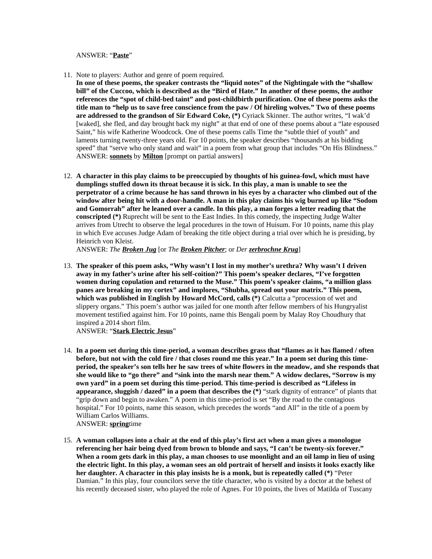ANSWER: "**Paste**"

- 11. Note to players: Author and genre of poem required.
- **In one of these poems, the speaker contrasts the "liquid notes" of the Nightingale with the "shallow bill" of the Cuccoo, which is described as the "Bird of Hate." In another of these poems, the author references the "spot of child-bed taint" and post-childbirth purification. One of these poems asks the title man to "help us to save free conscience from the paw / Of hireling wolves." Two of these poems are addressed to the grandson of Sir Edward Coke, (\*)** Cyriack Skinner. The author writes, "I wak'd [waked], she fled, and day brought back my night" at that end of one of these poems about a "late espoused Saint," his wife Katherine Woodcock. One of these poems calls Time the "subtle thief of youth" and laments turning twenty-three years old. For 10 points, the speaker describes "thousands at his bidding speed" that "serve who only stand and wait" in a poem from what group that includes "On His Blindness." ANSWER: **sonnets** by **Milton** [prompt on partial answers]
- 12. **A character in this play claims to be preoccupied by thoughts of his guinea-fowl, which must have dumplings stuffed down its throat because it is sick. In this play, a man is unable to see the perpetrator of a crime because he has sand thrown in his eyes by a character who climbed out of the window after being hit with a door-handle. A man in this play claims his wig burned up like "Sodom and Gomorrah" after he leaned over a candle. In this play, a man forges a letter reading that the conscripted (\*)** Ruprecht will be sent to the East Indies. In this comedy, the inspecting Judge Walter arrives from Utrecht to observe the legal procedures in the town of Huisum. For 10 points, name this play in which Eve accuses Judge Adam of breaking the title object during a trial over which he is presiding, by Heinrich von Kleist.

ANSWER: *The Broken Jug* [or *The Broken Pitcher*; or *Der zerbrochne Krug*]

13. **The speaker of this poem asks, "Why wasn't I lost in my mother's urethra? Why wasn't I driven away in my father's urine after his self-coition?" This poem's speaker declares, "I've forgotten women during copulation and returned to the Muse." This poem's speaker claims, "a million glass panes are breaking in my cortex" and implores, "Shubha, spread out your matrix." This poem, which was published in English by Howard McCord, calls (\*)** Calcutta a "procession of wet and slippery organs." This poem's author was jailed for one month after fellow members of his Hungryalist movement testified against him. For 10 points, name this Bengali poem by Malay Roy Choudhury that inspired a 2014 short film.

ANSWER: "**Stark Electric Jesus**"

- 14. **In a poem set during this time-period, a woman describes grass that "flames as it has flamed / often before, but not with the cold fire / that closes round me this year." In a poem set during this timeperiod, the speaker's son tells her he saw trees of white flowers in the meadow, and she responds that she would like to "go there" and "sink into the marsh near them." A widow declares, "Sorrow is my own yard" in a poem set during this time-period. This time-period is described as "Lifeless in appearance, sluggish / dazed" in a poem that describes the (\*)** "stark dignity of entrance" of plants that "grip down and begin to awaken." A poem in this time-period is set "By the road to the contagious hospital." For 10 points, name this season, which precedes the words "and All" in the title of a poem by William Carlos Williams. ANSWER: **spring**time
- 15. **A woman collapses into a chair at the end of this play's first act when a man gives a monologue referencing her hair being dyed from brown to blonde and says, "I can't be twenty-six forever." When a room gets dark in this play, a man chooses to use moonlight and an oil lamp in lieu of using the electric light. In this play, a woman sees an old portrait of herself and insists it looks exactly like her daughter. A character in this play insists he is a monk, but is repeatedly called (\*)** "Peter Damian." In this play, four councilors serve the title character, who is visited by a doctor at the behest of his recently deceased sister, who played the role of Agnes. For 10 points, the lives of Matilda of Tuscany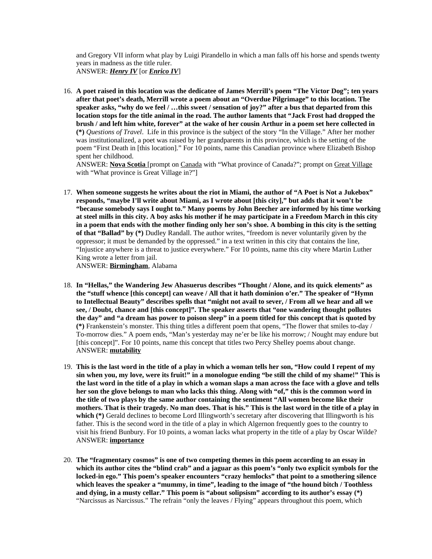and Gregory VII inform what play by Luigi Pirandello in which a man falls off his horse and spends twenty years in madness as the title ruler. ANSWER: *Henry IV* [or *Enrico IV*]

16. **A poet raised in this location was the dedicatee of James Merrill's poem "The Victor Dog"; ten years after that poet's death, Merrill wrote a poem about an "Overdue Pilgrimage" to this location. The speaker asks, "why do we feel / …this sweet / sensation of joy?" after a bus that departed from this location stops for the title animal in the road. The author laments that "Jack Frost had dropped the brush / and left him white, forever" at the wake of her cousin Arthur in a poem set here collected in (\*)** *Questions of Travel*. Life in this province is the subject of the story "In the Village." After her mother was institutionalized, a poet was raised by her grandparents in this province, which is the setting of the poem "First Death in [this location]." For 10 points, name this Canadian province where Elizabeth Bishop spent her childhood.

ANSWER: **Nova Scotia** [prompt on Canada with "What province of Canada?"; prompt on Great Village with "What province is Great Village in?"]

17. **When someone suggests he writes about the riot in Miami, the author of "A Poet is Not a Jukebox" responds, "maybe I'll write about Miami, as I wrote about [this city]," but adds that it won't be "because somebody says I ought to." Many poems by John Beecher are informed by his time working at steel mills in this city. A boy asks his mother if he may participate in a Freedom March in this city in a poem that ends with the mother finding only her son's shoe. A bombing in this city is the setting of that "Ballad" by (\*)** Dudley Randall. The author writes, "freedom is never voluntarily given by the oppressor; it must be demanded by the oppressed." in a text written in this city that contains the line, "Injustice anywhere is a threat to justice everywhere." For 10 points, name this city where Martin Luther King wrote a letter from jail.

ANSWER: **Birmingham**, Alabama

- 18. **In "Hellas," the Wandering Jew Ahasuerus describes "Thought / Alone, and its quick elements" as the "stuff whence [this concept] can weave / All that it hath dominion o'er." The speaker of "Hymn to Intellectual Beauty" describes spells that "might not avail to sever, / From all we hear and all we see, / Doubt, chance and [this concept]". The speaker asserts that "one wandering thought pollutes the day" and "a dream has power to poison sleep" in a poem titled for this concept that is quoted by (\*)** Frankenstein's monster. This thing titles a different poem that opens, "The flower that smiles to-day / To-morrow dies." A poem ends, "Man's yesterday may ne'er be like his morrow; / Nought may endure but [this concept]". For 10 points, name this concept that titles two Percy Shelley poems about change. ANSWER: **mutability**
- 19. **This is the last word in the title of a play in which a woman tells her son, "How could I repent of my sin when you, my love, were its fruit!" in a monologue ending "be still the child of my shame!" This is the last word in the title of a play in which a woman slaps a man across the face with a glove and tells her son the glove belongs to man who lacks this thing. Along with "of," this is the common word in the title of two plays by the same author containing the sentiment "All women become like their mothers. That is their tragedy. No man does. That is his." This is the last word in the title of a play in which (\*)** Gerald declines to become Lord Illingworth's secretary after discovering that Illingworth is his father. This is the second word in the title of a play in which Algernon frequently goes to the country to visit his friend Bunbury. For 10 points, a woman lacks what property in the title of a play by Oscar Wilde? ANSWER: **importance**
- 20. **The "fragmentary cosmos" is one of two competing themes in this poem according to an essay in which its author cites the "blind crab" and a jaguar as this poem's "only two explicit symbols for the locked-in ego." This poem's speaker encounters "crazy hemlocks" that point to a smothering silence which leaves the speaker a "mummy, in time", leading to the image of "the hound bitch / Toothless and dying, in a musty cellar." This poem is "about solipsism" according to its author's essay (\*)** "Narcissus as Narcissus." The refrain "only the leaves / Flying" appears throughout this poem, which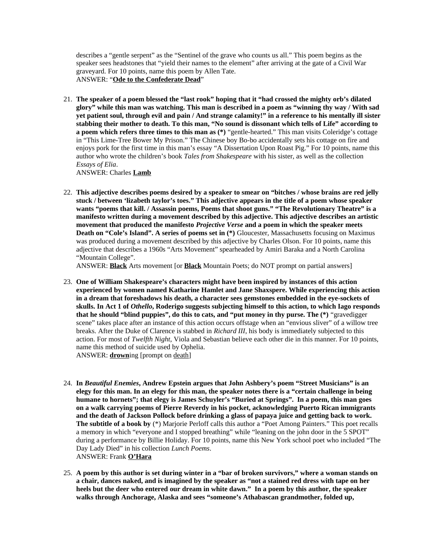describes a "gentle serpent" as the "Sentinel of the grave who counts us all." This poem begins as the speaker sees headstones that "yield their names to the element" after arriving at the gate of a Civil War graveyard. For 10 points, name this poem by Allen Tate. ANSWER: "**Ode to the Confederate Dead**"

21. **The speaker of a poem blessed the "last rook" hoping that it "had crossed the mighty orb's dilated glory" while this man was watching. This man is described in a poem as "winning thy way / With sad yet patient soul, through evil and pain / And strange calamity!" in a reference to his mentally ill sister stabbing their mother to death. To this man, "No sound is dissonant which tells of Life" according to a poem which refers three times to this man as (\*)** "gentle-hearted." This man visits Coleridge's cottage in "This Lime-Tree Bower My Prison." The Chinese boy Bo-bo accidentally sets his cottage on fire and enjoys pork for the first time in this man's essay "A Dissertation Upon Roast Pig." For 10 points, name this author who wrote the children's book *Tales from Shakespeare* with his sister, as well as the collection *Essays of Elia*.

ANSWER: Charles **Lamb**

22. **This adjective describes poems desired by a speaker to smear on "bitches / whose brains are red jelly stuck / between 'lizabeth taylor's toes." This adjective appears in the title of a poem whose speaker wants "poems that kill. / Assassin poems, Poems that shoot guns." "The Revolutionary Theatre" is a manifesto written during a movement described by this adjective. This adjective describes an artistic movement that produced the manifesto** *Projective Verse* **and a poem in which the speaker meets Death on "Cole's Island". A series of poems set in (\*)** Gloucester, Massachusetts focusing on Maximus was produced during a movement described by this adjective by Charles Olson. For 10 points, name this adjective that describes a 1960s "Arts Movement" spearheaded by Amiri Baraka and a North Carolina "Mountain College".

ANSWER: **Black** Arts movement [or **Black** Mountain Poets; do NOT prompt on partial answers]

- 23. **One of William Shakespeare's characters might have been inspired by instances of this action experienced by women named Katharine Hamlet and Jane Shaxspere. While experiencing this action in a dream that foreshadows his death, a character sees gemstones embedded in the eye-sockets of skulls. In Act 1 of** *Othello***, Roderigo suggests subjecting himself to this action, to which Iago responds that he should "blind puppies", do this to cats, and "put money in thy purse. The (\*)** "gravedigger scene" takes place after an instance of this action occurs offstage when an "envious sliver" of a willow tree breaks. After the Duke of Clarence is stabbed in *Richard III*, his body is immediately subjected to this action. For most of *Twelfth Night*, Viola and Sebastian believe each other die in this manner. For 10 points, name this method of suicide used by Ophelia. ANSWER: **drown**ing [prompt on death]
- 24. **In** *Beautiful Enemies***, Andrew Epstein argues that John Ashbery's poem "Street Musicians" is an elegy for this man. In an elegy for this man, the speaker notes there is a "certain challenge in being humane to hornets"; that elegy is James Schuyler's "Buried at Springs". In a poem, this man goes on a walk carrying poems of Pierre Reverdy in his pocket, acknowledging Puerto Rican immigrants and the death of Jackson Pollock before drinking a glass of papaya juice and getting back to work. The subtitle of a book by** (\*) Marjorie Perloff calls this author a "Poet Among Painters." This poet recalls a memory in which "everyone and I stopped breathing" while "leaning on the john door in the 5 SPOT" during a performance by Billie Holiday. For 10 points, name this New York school poet who included "The Day Lady Died" in his collection *Lunch Poems*. ANSWER: Frank **O'Hara**
- 25. **A poem by this author is set during winter in a "bar of broken survivors," where a woman stands on a chair, dances naked, and is imagined by the speaker as "not a stained red dress with tape on her heels but the deer who entered our dream in white dawn." In a poem by this author, the speaker walks through Anchorage, Alaska and sees "someone's Athabascan grandmother, folded up,**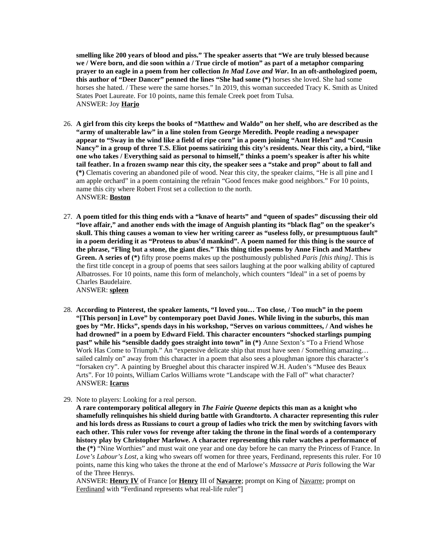**smelling like 200 years of blood and piss." The speaker asserts that "We are truly blessed because we / Were born, and die soon within a / True circle of motion" as part of a metaphor comparing prayer to an eagle in a poem from her collection** *In Mad Love and War***. In an oft-anthologized poem, this author of "Deer Dancer" penned the lines "She had some (\*)** horses she loved. She had some horses she hated. / These were the same horses." In 2019, this woman succeeded Tracy K. Smith as United States Poet Laureate. For 10 points, name this female Creek poet from Tulsa. ANSWER: Joy **Harjo**

- 26. **A girl from this city keeps the books of "Matthew and Waldo" on her shelf, who are described as the "army of unalterable law" in a line stolen from George Meredith. People reading a newspaper appear to "Sway in the wind like a field of ripe corn" in a poem joining "Aunt Helen" and "Cousin Nancy" in a group of three T.S. Eliot poems satirizing this city's residents. Near this city, a bird, "like one who takes / Everything said as personal to himself," thinks a poem's speaker is after his white tail feather. In a frozen swamp near this city, the speaker sees a "stake and prop" about to fall and (\*)** Clematis covering an abandoned pile of wood. Near this city, the speaker claims, "He is all pine and I am apple orchard" in a poem containing the refrain "Good fences make good neighbors." For 10 points, name this city where Robert Frost set a collection to the north. ANSWER: **Boston**
- 27. **A poem titled for this thing ends with a "knave of hearts" and "queen of spades" discussing their old "love affair," and another ends with the image of Anguish planting its "black flag" on the speaker's skull. This thing causes a woman to view her writing career as "useless folly, or presumptuous fault" in a poem deriding it as "Proteus to abus'd mankind". A poem named for this thing is the source of the phrase, "Fling but a stone, the giant dies." This thing titles poems by Anne Finch and Matthew Green. A series of (\*)** fifty prose poems makes up the posthumously published *Paris [this thing]*. This is the first title concept in a group of poems that sees sailors laughing at the poor walking ability of captured Albatrosses. For 10 points, name this form of melancholy, which counters "Ideal" in a set of poems by Charles Baudelaire. ANSWER: **spleen**

28. **According to Pinterest, the speaker laments, "I loved you… Too close, / Too much" in the poem "[This person] in Love" by contemporary poet David Jones. While living in the suburbs, this man goes by "Mr. Hicks", spends days in his workshop, "Serves on various committees, / And wishes he had drowned" in a poem by Edward Field. This character encounters "shocked starlings pumping past" while his "sensible daddy goes straight into town" in (\*)** Anne Sexton's "To a Friend Whose Work Has Come to Triumph." An "expensive delicate ship that must have seen / Something amazing... sailed calmly on" away from this character in a poem that also sees a ploughman ignore this character's "forsaken cry". A painting by Brueghel about this character inspired W.H. Auden's "Musee des Beaux Arts". For 10 points, William Carlos Williams wrote "Landscape with the Fall of" what character? ANSWER: **Icarus**

29. Note to players: Looking for a real person.

**A rare contemporary political allegory in** *The Fairie Queene* **depicts this man as a knight who shamefully relinquishes his shield during battle with Grandtorto. A character representing this ruler and his lords dress as Russians to court a group of ladies who trick the men by switching favors with each other. This ruler vows for revenge after taking the throne in the final words of a contemporary history play by Christopher Marlowe. A character representing this ruler watches a performance of the (\*)** "Nine Worthies" and must wait one year and one day before he can marry the Princess of France. In *Love's Labour's Lost*, a king who swears off women for three years, Ferdinand, represents this ruler. For 10 points, name this king who takes the throne at the end of Marlowe's *Massacre at Paris* following the War of the Three Henrys.

ANSWER: **Henry IV** of France [or **Henry** III of **Navarre**; prompt on King of Navarre; prompt on Ferdinand with "Ferdinand represents what real-life ruler"]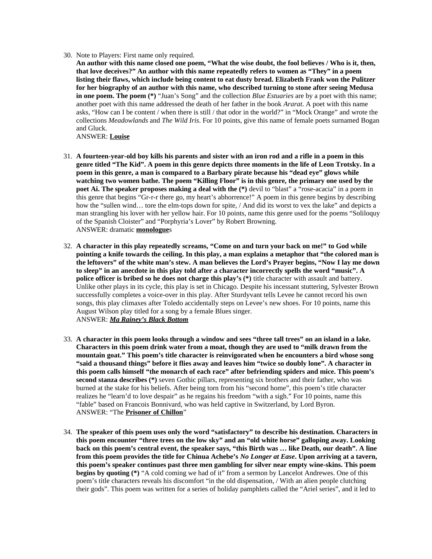- 30. Note to Players: First name only required.
	- **An author with this name closed one poem, "What the wise doubt, the fool believes / Who is it, then, that love deceives?" An author with this name repeatedly refers to women as "They" in a poem listing their flaws, which include being content to eat dusty bread. Elizabeth Frank won the Pulitzer for her biography of an author with this name, who described turning to stone after seeing Medusa in one poem. The poem (\*)** "Juan's Song" and the collection *Blue Estuaries* are by a poet with this name; another poet with this name addressed the death of her father in the book *Ararat*. A poet with this name asks, "How can I be content / when there is still / that odor in the world?" in "Mock Orange" and wrote the collections *Meadowlands* and *The Wild Iris*. For 10 points, give this name of female poets surnamed Bogan and Gluck.

## ANSWER: **Louise**

- 31. **A fourteen-year-old boy kills his parents and sister with an iron rod and a rifle in a poem in this genre titled "The Kid". A poem in this genre depicts three moments in the life of Leon Trotsky. In a poem in this genre, a man is compared to a Barbary pirate because his "dead eye" glows while watching two women bathe. The poem "Killing Floor" is in this genre, the primary one used by the poet Ai. The speaker proposes making a deal with the (\*)** devil to "blast" a "rose-acacia" in a poem in this genre that begins "Gr-r-r there go, my heart's abhorrence!" A poem in this genre begins by describing how the "sullen wind… tore the elm-tops down for spite, / And did its worst to vex the lake" and depicts a man strangling his lover with her yellow hair. For 10 points, name this genre used for the poems "Soliloquy of the Spanish Cloister" and "Porphyria's Lover" by Robert Browning. ANSWER: dramatic **monologue**s
- 32. **A character in this play repeatedly screams, "Come on and turn your back on me!" to God while pointing a knife towards the ceiling. In this play, a man explains a metaphor that "the colored man is the leftovers" of the white man's stew. A man believes the Lord's Prayer begins, "Now I lay me down to sleep" in an anecdote in this play told after a character incorrectly spells the word "music". A police officer is bribed so he does not charge this play's (\*)** title character with assault and battery. Unlike other plays in its cycle, this play is set in Chicago. Despite his incessant stuttering, Sylvester Brown successfully completes a voice-over in this play. After Sturdyvant tells Levee he cannot record his own songs, this play climaxes after Toledo accidentally steps on Levee's new shoes. For 10 points, name this August Wilson play titled for a song by a female Blues singer. ANSWER: *Ma Rainey's Black Bottom*
- 33. **A character in this poem looks through a window and sees "three tall trees" on an island in a lake. Characters in this poem drink water from a moat, though they are used to "milk drawn from the mountain goat." This poem's title character is reinvigorated when he encounters a bird whose song "said a thousand things" before it flies away and leaves him "twice so doubly lone". A character in this poem calls himself "the monarch of each race" after befriending spiders and mice. This poem's second stanza describes (\*)** seven Gothic pillars, representing six brothers and their father, who was burned at the stake for his beliefs. After being torn from his "second home", this poem's title character realizes he "learn'd to love despair" as he regains his freedom "with a sigh." For 10 points, name this "fable" based on Francois Bonnivard, who was held captive in Switzerland, by Lord Byron. ANSWER: "The **Prisoner of Chillon**"
- 34. **The speaker of this poem uses only the word "satisfactory" to describe his destination. Characters in this poem encounter "three trees on the low sky" and an "old white horse" galloping away. Looking back on this poem's central event, the speaker says, "this Birth was … like Death, our death". A line from this poem provides the title for Chinua Achebe's** *No Longer at Ease***. Upon arriving at a tavern, this poem's speaker continues past three men gambling for silver near empty wine-skins. This poem begins by quoting (\*)** "A cold coming we had of it" from a sermon by Lancelot Andrewes. One of this poem's title characters reveals his discomfort "in the old dispensation, / With an alien people clutching their gods". This poem was written for a series of holiday pamphlets called the "Ariel series", and it led to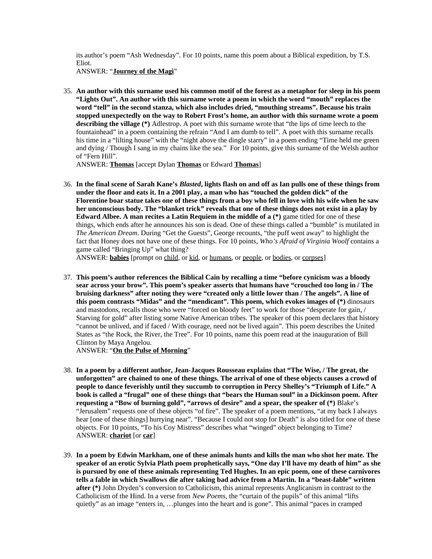its author's poem "Ash Wednesday". For 10 points, name this poem about a Biblical expedition, by T.S. Eliot.

ANSWER: "**Journey of the Magi**"

35. **An author with this surname used his common motif of the forest as a metaphor for sleep in his poem "Lights Out". An author with this surname wrote a poem in which the word "mouth" replaces the word "tell" in the second stanza, which also includes dried, "mouthing streams". Because his train stopped unexpectedly on the way to Robert Frost's home, an author with this surname wrote a poem describing the village (\*)** Adlestrop. A poet with this surname wrote that "the lips of time leech to the fountainhead" in a poem containing the refrain "And I am dumb to tell". A poet with this surname recalls his time in a "lilting house" with the "night above the dingle starry" in a poem ending "Time held me green and dying / Though I sang in my chains like the sea." For 10 points, give this surname of the Welsh author of "Fern Hill".

ANSWER: **Thomas** [accept Dylan **Thomas** or Edward **Thomas**]

36. **In the final scene of Sarah Kane's** *Blasted***, lights flash on and off as Ian pulls one of these things from under the floor and eats it. In a 2001 play, a man who has "touched the golden dick" of the Florentine boar statue takes one of these things from a boy who fell in love with his wife when he saw her unconscious body. The "blanket trick" reveals that one of these things does not exist in a play by Edward Albee. A man recites a Latin Requiem in the middle of a (\*)** game titled for one of these things, which ends after he announces his son is dead. One of these things called a "bumble" is mutilated in *The American Dream*. During "Get the Guests", George recounts, "the puff went away" to highlight the fact that Honey does not have one of these things. For 10 points, *Who's Afraid of Virginia Woolf* contains a game called "Bringing Up" what thing?

ANSWER: **babies** [prompt on child, or kid, or humans, or people, or bodies, or corpses]

37. **This poem's author references the Biblical Cain by recalling a time "before cynicism was a bloody sear across your brow". This poem's speaker asserts that humans have "crouched too long in / The bruising darkness" after noting they were "created only a little lower than / The angels". A line of this poem contrasts "Midas" and the "mendicant". This poem, which evokes images of (\*)** dinosaurs and mastodons, recalls those who were "forced on bloody feet" to work for those "desperate for gain, / Starving for gold" after listing some Native American tribes. The speaker of this poem declares that history "cannot be unlived, and if faced / With courage, need not be lived again". This poem describes the United States as "the Rock, the River, the Tree". For 10 points, name this poem read at the inauguration of Bill Clinton by Maya Angelou.

ANSWER: "**On the Pulse of Morning**"

- 38. **In a poem by a different author, Jean-Jacques Rousseau explains that "The Wise, / The great, the unforgotten" are chained to one of these things. The arrival of one of these objects causes a crowd of people to dance feverishly until they succumb to corruption in Percy Shelley's "Triumph of Life." A book is called a "frugal" one of these things that "bears the Human soul" in a Dickinson poem. After requesting a "Bow of burning gold", "arrows of desire" and a spear, the speaker of (\*)** Blake's "Jerusalem" requests one of these objects "of fire". The speaker of a poem mentions, "at my back I always hear [one of these things] hurrying near". "Because I could not stop for Death" is also titled for one of these objects. For 10 points, "To his Coy Mistress" describes what "winged" object belonging to Time? ANSWER: **chariot** [or **car**]
- 39. **In a poem by Edwin Markham, one of these animals hunts and kills the man who shot her mate. The speaker of an erotic Sylvia Plath poem prophetically says, "One day I'll have my death of him" as she is pursued by one of these animals representing Ted Hughes. In an epic poem, one of these carnivores tells a fable in which Swallows die after taking bad advice from a Martin. In a "beast-fable" written after (\*)** John Dryden's conversion to Catholicism, this animal represents Anglicanism in contrast to the Catholicism of the Hind. In a verse from *New Poems*, the "curtain of the pupils" of this animal "lifts quietly" as an image "enters in, …plunges into the heart and is gone". This animal "paces in cramped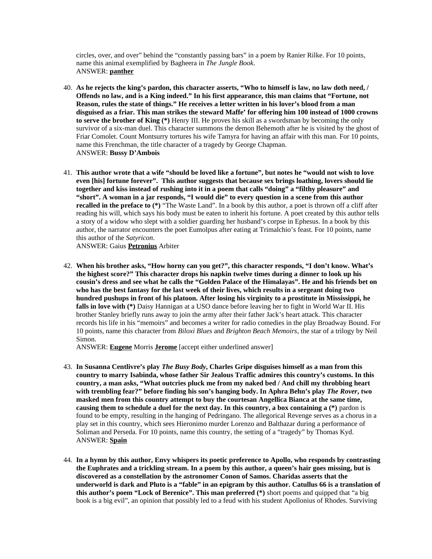circles, over, and over" behind the "constantly passing bars" in a poem by Ranier Rilke. For 10 points, name this animal exemplified by Bagheera in *The Jungle Book*. ANSWER: **panther**

- 40. **As he rejects the king's pardon, this character asserts, "Who to himself is law, no law doth need, / Offends no law, and is a King indeed." In his first appearance, this man claims that "Fortune, not Reason, rules the state of things." He receives a letter written in his lover's blood from a man disguised as a friar. This man strikes the steward Maffe' for offering him 100 instead of 1000 crowns to serve the brother of King (\*)** Henry III. He proves his skill as a swordsman by becoming the only survivor of a six-man duel. This character summons the demon Behemoth after he is visited by the ghost of Friar Comolet. Count Montsurry tortures his wife Tamyra for having an affair with this man. For 10 points, name this Frenchman, the title character of a tragedy by George Chapman. ANSWER: **Bussy D'Ambois**
- 41. **This author wrote that a wife "should be loved like a fortune", but notes he "would not wish to love even [his] fortune forever". This author suggests that because sex brings loathing, lovers should lie together and kiss instead of rushing into it in a poem that calls "doing" a "filthy pleasure" and "short". A woman in a jar responds, "I would die" to every question in a scene from this author recalled in the preface to (\*)** "The Waste Land". In a book by this author, a poet is thrown off a cliff after reading his will, which says his body must be eaten to inherit his fortune. A poet created by this author tells a story of a widow who slept with a soldier guarding her husband's corpse in Ephesus. In a book by this author, the narrator encounters the poet Eumolpus after eating at Trimalchio's feast. For 10 points, name this author of the *Satyricon*.

ANSWER: Gaius **Petronius** Arbiter

42. **When his brother asks, "How horny can you get?", this character responds, "I don't know. What's the highest score?" This character drops his napkin twelve times during a dinner to look up his cousin's dress and see what he calls the "Golden Palace of the Himalayas". He and his friends bet on who has the best fantasy for the last week of their lives, which results in a sergeant doing two hundred pushups in front of his platoon. After losing his virginity to a prostitute in Mississippi, he falls in love with (\*)** Daisy Hannigan at a USO dance before leaving her to fight in World War II. His brother Stanley briefly runs away to join the army after their father Jack's heart attack. This character records his life in his "memoirs" and becomes a writer for radio comedies in the play Broadway Bound. For 10 points, name this character from *Biloxi Blues* and *Brighton Beach Memoirs*, the star of a trilogy by Neil Simon.

ANSWER: **Eugene** Morris **Jerome** [accept either underlined answer]

- 43. **In Susanna Centlivre's play** *The Busy Body***, Charles Gripe disguises himself as a man from this country to marry Isabinda, whose father Sir Jealous Traffic admires this country's customs. In this country, a man asks, "What outcries pluck me from my naked bed / And chill my throbbing heart with trembling fear?" before finding his son's hanging body. In Aphra Behn's play** *The Rover***, two masked men from this country attempt to buy the courtesan Angellica Bianca at the same time, causing them to schedule a duel for the next day. In this country, a box containing a (\*)** pardon is found to be empty, resulting in the hanging of Pedringano. The allegorical Revenge serves as a chorus in a play set in this country, which sees Hieronimo murder Lorenzo and Balthazar during a performance of Soliman and Perseda. For 10 points, name this country, the setting of a "tragedy" by Thomas Kyd. ANSWER: **Spain**
- 44. **In a hymn by this author, Envy whispers its poetic preference to Apollo, who responds by contrasting the Euphrates and a trickling stream. In a poem by this author, a queen's hair goes missing, but is discovered as a constellation by the astronomer Conon of Samos. Charidas asserts that the underworld is dark and Pluto is a "fable" in an epigram by this author. Catullus 66 is a translation of this author's poem "Lock of Berenice". This man preferred (\*)** short poems and quipped that "a big book is a big evil", an opinion that possibly led to a feud with his student Apollonius of Rhodes. Surviving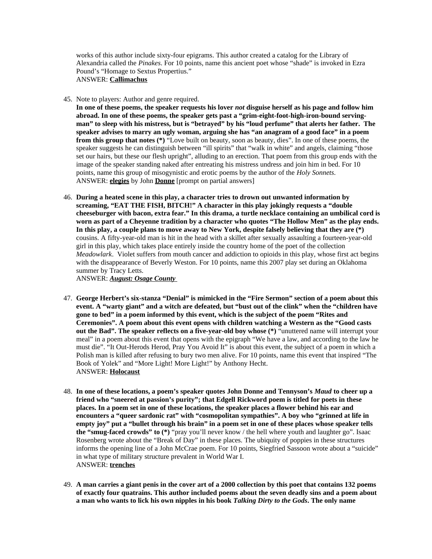works of this author include sixty-four epigrams. This author created a catalog for the Library of Alexandria called the *Pinakes*. For 10 points, name this ancient poet whose "shade" is invoked in Ezra Pound's "Homage to Sextus Propertius."

ANSWER: **Callimachus**

45. Note to players: Author and genre required.

**In one of these poems, the speaker requests his lover** *not* **disguise herself as his page and follow him abroad. In one of these poems, the speaker gets past a "grim-eight-foot-high-iron-bound servingman" to sleep with his mistress, but is "betrayed" by his "loud perfume" that alerts her father. The speaker advises to marry an ugly woman, arguing she has "an anagram of a good face" in a poem from this group that notes (\*)** "Love built on beauty, soon as beauty, dies". In one of these poems, the speaker suggests he can distinguish between "ill spirits" that "walk in white" and angels, claiming "those set our hairs, but these our flesh upright", alluding to an erection. That poem from this group ends with the image of the speaker standing naked after entreating his mistress undress and join him in bed. For 10 points, name this group of misogynistic and erotic poems by the author of the *Holy Sonnets*. ANSWER: **elegies** by John **Donne** [prompt on partial answers]

46. **During a heated scene in this play, a character tries to drown out unwanted information by screaming, "EAT THE FISH, BITCH!" A character in this play jokingly requests a "double cheeseburger with bacon, extra fear." In this drama, a turtle necklace containing an umbilical cord is worn as part of a Cheyenne tradition by a character who quotes "The Hollow Men" as the play ends. In this play, a couple plans to move away to New York, despite falsely believing that they are (\*)** cousins. A fifty-year-old man is hit in the head with a skillet after sexually assaulting a fourteen-year-old girl in this play, which takes place entirely inside the country home of the poet of the collection *Meadowlark*. Violet suffers from mouth cancer and addiction to opioids in this play, whose first act begins with the disappearance of Beverly Weston. For 10 points, name this 2007 play set during an Oklahoma summer by Tracy Letts.

ANSWER: *August: Osage County* 

- 47. **George Herbert's six-stanza "Denial" is mimicked in the "Fire Sermon" section of a poem about this event. A "warty giant" and a witch are defeated, but "bust out of the clink" when the "children have gone to bed" in a poem informed by this event, which is the subject of the poem "Rites and Ceremonies". A poem about this event opens with children watching a Western as the "Good casts out the Bad". The speaker reflects on a five-year-old boy whose (\*)** "unuttered name will interrupt your meal" in a poem about this event that opens with the epigraph "We have a law, and according to the law he must die". "It Out-Herods Herod, Pray You Avoid It" is about this event, the subject of a poem in which a Polish man is killed after refusing to bury two men alive. For 10 points, name this event that inspired "The Book of Yolek" and "More Light! More Light!" by Anthony Hecht. ANSWER: **Holocaust**
- 48. **In one of these locations, a poem's speaker quotes John Donne and Tennyson's** *Maud* **to cheer up a friend who "sneered at passion's purity"; that Edgell Rickword poem is titled for poets in these places. In a poem set in one of these locations, the speaker places a flower behind his ear and encounters a "queer sardonic rat" with "cosmopolitan sympathies". A boy who "grinned at life in empty joy" put a "bullet through his brain" in a poem set in one of these places whose speaker tells the "smug-faced crowds" to (\*)** "pray you'll never know / the hell where youth and laughter go". Isaac Rosenberg wrote about the "Break of Day" in these places. The ubiquity of poppies in these structures informs the opening line of a John McCrae poem. For 10 points, Siegfried Sassoon wrote about a "suicide" in what type of military structure prevalent in World War I. ANSWER: **trenches**
- 49. **A man carries a giant penis in the cover art of a 2000 collection by this poet that contains 132 poems of exactly four quatrains. This author included poems about the seven deadly sins and a poem about a man who wants to lick his own nipples in his book** *Talking Dirty to the Gods***. The only name**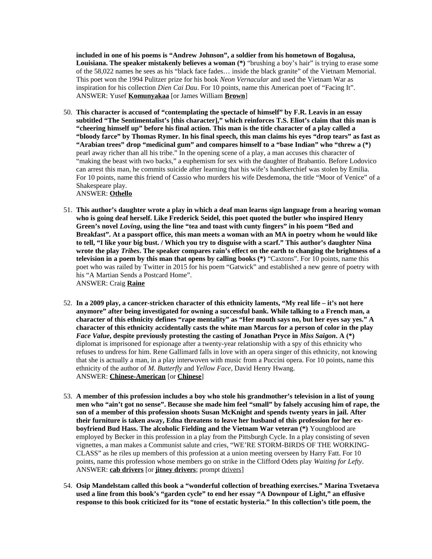**included in one of his poems is "Andrew Johnson", a soldier from his hometown of Bogalusa, Louisiana. The speaker mistakenly believes a woman (\*)** "brushing a boy's hair" is trying to erase some of the 58,022 names he sees as his "black face fades… inside the black granite" of the Vietnam Memorial. This poet won the 1994 Pulitzer prize for his book *Neon Vernacular* and used the Vietnam War as inspiration for his collection *Dien Cai Dau*. For 10 points, name this American poet of "Facing It". ANSWER: Yusef **Komunyakaa** [or James William **Brown**]

- 50. **This character is accused of "contemplating the spectacle of himself" by F.R. Leavis in an essay subtitled "The Sentimentalist's [this character]," which reinforces T.S. Eliot's claim that this man is "cheering himself up" before his final action. This man is the title character of a play called a "bloody farce" by Thomas Rymer. In his final speech, this man claims his eyes "drop tears" as fast as "Arabian trees" drop "medicinal gum" and compares himself to a "base Indian" who "threw a (\*)** pearl away richer than all his tribe." In the opening scene of a play, a man accuses this character of "making the beast with two backs," a euphemism for sex with the daughter of Brabantio. Before Lodovico can arrest this man, he commits suicide after learning that his wife's handkerchief was stolen by Emilia. For 10 points, name this friend of Cassio who murders his wife Desdemona, the title "Moor of Venice" of a Shakespeare play. ANSWER: **Othello**
- 51. **This author's daughter wrote a play in which a deaf man learns sign language from a hearing woman who is going deaf herself. Like Frederick Seidel, this poet quoted the butler who inspired Henry Green's novel** *Loving***, using the line "tea and toast with cunty fingers" in his poem "Bed and Breakfast". At a passport office, this man meets a woman with an MA in poetry whom he would like to tell, "I like your big bust. / Which you try to disguise with a scarf." This author's daughter Nina wrote the play** *Tribes***. The speaker compares rain's effect on the earth to changing the brightness of a television in a poem by this man that opens by calling books (\*)** "Caxtons". For 10 points, name this poet who was railed by Twitter in 2015 for his poem "Gatwick" and established a new genre of poetry with his "A Martian Sends a Postcard Home".

ANSWER: Craig **Raine**

- 52. **In a 2009 play, a cancer-stricken character of this ethnicity laments, "My real life it's not here anymore" after being investigated for owning a successful bank. While talking to a French man, a character of this ethnicity defines "rape mentality" as "Her mouth says no, but her eyes say yes." A character of this ethnicity accidentally casts the white man Marcus for a person of color in the play**  *Face Value***, despite previously protesting the casting of Jonathan Pryce in** *Miss Saigon***. A (\*)** diplomat is imprisoned for espionage after a twenty-year relationship with a spy of this ethnicity who refuses to undress for him. Rene Gallimard falls in love with an opera singer of this ethnicity, not knowing that she is actually a man, in a play interwoven with music from a Puccini opera. For 10 points, name this ethnicity of the author of *M. Butterfly* and *Yellow Face*, David Henry Hwang. ANSWER: **Chinese-American** [or **Chinese**]
- 53. **A member of this profession includes a boy who stole his grandmother's television in a list of young men who "ain't got no sense". Because she made him feel "small" by falsely accusing him of rape, the son of a member of this profession shoots Susan McKnight and spends twenty years in jail. After their furniture is taken away, Edna threatens to leave her husband of this profession for her exboyfriend Bud Hass. The alcoholic Fielding and the Vietnam War veteran (\*)** Youngblood are employed by Becker in this profession in a play from the Pittsburgh Cycle. In a play consisting of seven vignettes, a man makes a Communist salute and cries, "WE'RE STORM-BIRDS OF THE WORKING-CLASS" as he riles up members of this profession at a union meeting overseen by Harry Fatt. For 10 points, name this profession whose members go on strike in the Clifford Odets play *Waiting for Lefty*. ANSWER: **cab drivers** [or **jitney drivers**; prompt drivers]
- 54. **Osip Mandelstam called this book a "wonderful collection of breathing exercises." Marina Tsvetaeva used a line from this book's "garden cycle" to end her essay "A Downpour of Light," an effusive response to this book criticized for its "tone of ecstatic hysteria." In this collection's title poem, the**